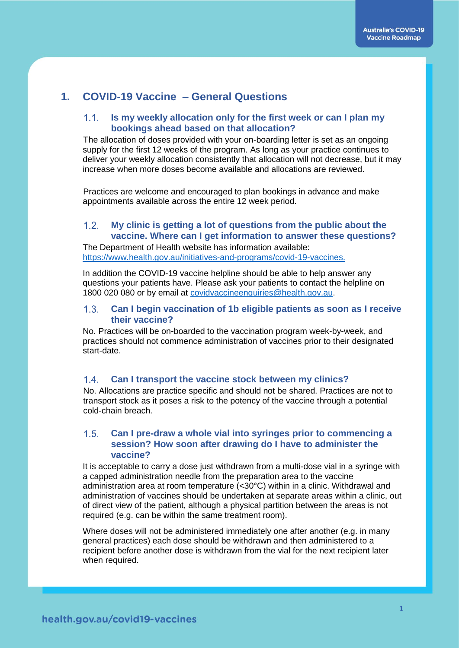# **1. COVID-19 Vaccine – General Questions**

### **Is my weekly allocation only for the first week or can I plan my**   $1.1.$ **bookings ahead based on that allocation?**

The allocation of doses provided with your on-boarding letter is set as an ongoing supply for the first 12 weeks of the program. As long as your practice continues to deliver your weekly allocation consistently that allocation will not decrease, but it may increase when more doses become available and allocations are reviewed.

Practices are welcome and encouraged to plan bookings in advance and make appointments available across the entire 12 week period.

#### $1.2.$ **My clinic is getting a lot of questions from the public about the vaccine. Where can I get information to answer these questions?**

The Department of Health website has information available: [https://www.health.gov.au/initiatives-and-programs/covid-19-vaccines.](https://www.health.gov.au/initiatives-and-programs/covid-19-vaccines)

In addition the COVID-19 vaccine helpline should be able to help answer any questions your patients have. Please ask your patients to contact the helpline on 1800 020 080 or by email at [covidvaccineenquiries@health.gov.au.](mailto:covidvaccineenquiries@health.gov.au)

#### **Can I begin vaccination of 1b eligible patients as soon as I receive**   $13<sup>7</sup>$ **their vaccine?**

No. Practices will be on-boarded to the vaccination program week-by-week, and practices should not commence administration of vaccines prior to their designated start-date.

#### $1.4.$ **Can I transport the vaccine stock between my clinics?**

No. Allocations are practice specific and should not be shared. Practices are not to transport stock as it poses a risk to the potency of the vaccine through a potential cold-chain breach.

## $1.5.$ **Can I pre-draw a whole vial into syringes prior to commencing a session? How soon after drawing do I have to administer the vaccine?**

It is acceptable to carry a dose just withdrawn from a multi-dose vial in a syringe with a capped administration needle from the preparation area to the vaccine administration area at room temperature (<30°C) within in a clinic. Withdrawal and administration of vaccines should be undertaken at separate areas within a clinic, out of direct view of the patient, although a physical partition between the areas is not required (e.g. can be within the same treatment room).

Where doses will not be administered immediately one after another (e.g. in many general practices) each dose should be withdrawn and then administered to a recipient before another dose is withdrawn from the vial for the next recipient later when required.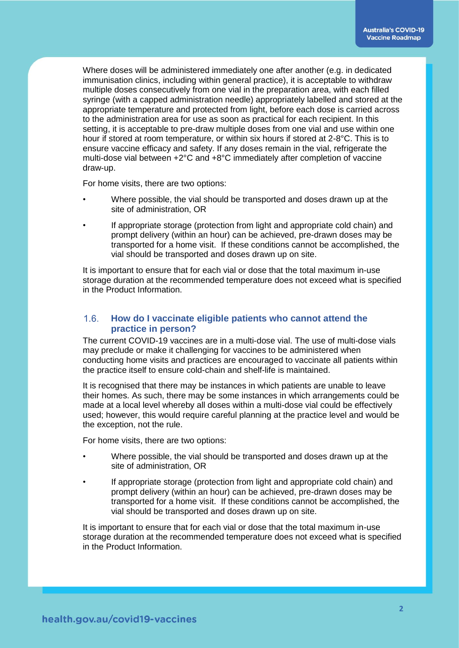Where doses will be administered immediately one after another (e.g. in dedicated immunisation clinics, including within general practice), it is acceptable to withdraw multiple doses consecutively from one vial in the preparation area, with each filled syringe (with a capped administration needle) appropriately labelled and stored at the appropriate temperature and protected from light, before each dose is carried across to the administration area for use as soon as practical for each recipient. In this setting, it is acceptable to pre-draw multiple doses from one vial and use within one hour if stored at room temperature, or within six hours if stored at 2-8°C. This is to ensure vaccine efficacy and safety. If any doses remain in the vial, refrigerate the multi-dose vial between +2°C and +8°C immediately after completion of vaccine draw-up.

For home visits, there are two options:

- Where possible, the vial should be transported and doses drawn up at the site of administration, OR
- If appropriate storage (protection from light and appropriate cold chain) and prompt delivery (within an hour) can be achieved, pre-drawn doses may be transported for a home visit. If these conditions cannot be accomplished, the vial should be transported and doses drawn up on site.

It is important to ensure that for each vial or dose that the total maximum in-use storage duration at the recommended temperature does not exceed what is specified in the Product Information.

### $1.6.$ **How do I vaccinate eligible patients who cannot attend the practice in person?**

The current COVID-19 vaccines are in a multi-dose vial. The use of multi-dose vials may preclude or make it challenging for vaccines to be administered when conducting home visits and practices are encouraged to vaccinate all patients within the practice itself to ensure cold-chain and shelf-life is maintained.

It is recognised that there may be instances in which patients are unable to leave their homes. As such, there may be some instances in which arrangements could be made at a local level whereby all doses within a multi-dose vial could be effectively used; however, this would require careful planning at the practice level and would be the exception, not the rule.

For home visits, there are two options:

- Where possible, the vial should be transported and doses drawn up at the site of administration, OR
- If appropriate storage (protection from light and appropriate cold chain) and prompt delivery (within an hour) can be achieved, pre-drawn doses may be transported for a home visit. If these conditions cannot be accomplished, the vial should be transported and doses drawn up on site.

It is important to ensure that for each vial or dose that the total maximum in-use storage duration at the recommended temperature does not exceed what is specified in the Product Information.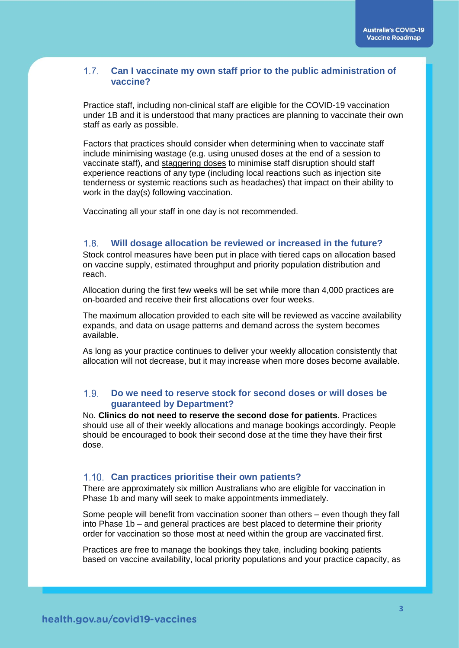### $1.7.$ **Can I vaccinate my own staff prior to the public administration of vaccine?**

Practice staff, including non-clinical staff are eligible for the COVID-19 vaccination under 1B and it is understood that many practices are planning to vaccinate their own staff as early as possible.

Factors that practices should consider when determining when to vaccinate staff include minimising wastage (e.g. using unused doses at the end of a session to vaccinate staff), and staggering doses to minimise staff disruption should staff experience reactions of any type (including local reactions such as injection site tenderness or systemic reactions such as headaches) that impact on their ability to work in the day(s) following vaccination.

Vaccinating all your staff in one day is not recommended.

#### $1.8.$ **Will dosage allocation be reviewed or increased in the future?**

Stock control measures have been put in place with tiered caps on allocation based on vaccine supply, estimated throughput and priority population distribution and reach.

Allocation during the first few weeks will be set while more than 4,000 practices are on-boarded and receive their first allocations over four weeks.

The maximum allocation provided to each site will be reviewed as vaccine availability expands, and data on usage patterns and demand across the system becomes available.

As long as your practice continues to deliver your weekly allocation consistently that allocation will not decrease, but it may increase when more doses become available.

### $1.9$ **Do we need to reserve stock for second doses or will doses be guaranteed by Department?**

No. **Clinics do not need to reserve the second dose for patients**. Practices should use all of their weekly allocations and manage bookings accordingly. People should be encouraged to book their second dose at the time they have their first dose.

## **Can practices prioritise their own patients?**

There are approximately six million Australians who are eligible for vaccination in Phase 1b and many will seek to make appointments immediately.

Some people will benefit from vaccination sooner than others – even though they fall into Phase 1b – and general practices are best placed to determine their priority order for vaccination so those most at need within the group are vaccinated first.

Practices are free to manage the bookings they take, including booking patients based on vaccine availability, local priority populations and your practice capacity, as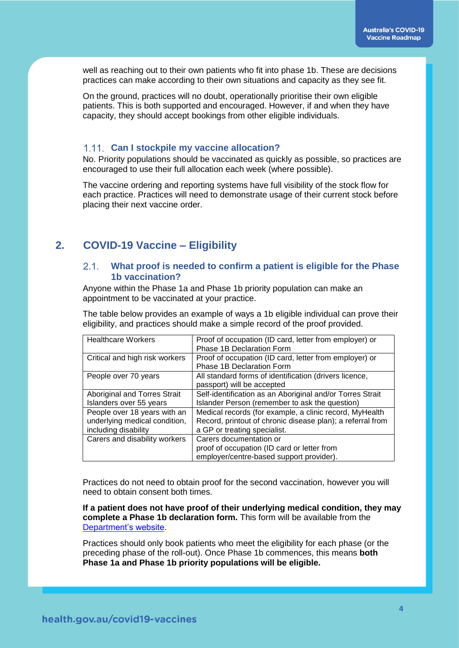well as reaching out to their own patients who fit into phase 1b. These are decisions practices can make according to their own situations and capacity as they see fit.

On the ground, practices will no doubt, operationally prioritise their own eligible patients. This is both supported and encouraged. However, if and when they have capacity, they should accept bookings from other eligible individuals.

## **Can I stockpile my vaccine allocation?**

No. Priority populations should be vaccinated as quickly as possible, so practices are encouraged to use their full allocation each week (where possible).

The vaccine ordering and reporting systems have full visibility of the stock flow for each practice. Practices will need to demonstrate usage of their current stock before placing their next vaccine order.

## **2. COVID-19 Vaccine – Eligibility**

#### $2.1$ **What proof is needed to confirm a patient is eligible for the Phase 1b vaccination?**

Anyone within the Phase 1a and Phase 1b priority population can make an appointment to be vaccinated at your practice.

The table below provides an example of ways a 1b eligible individual can prove their eligibility, and practices should make a simple record of the proof provided.

| <b>Healthcare Workers</b>      | Proof of occupation (ID card, letter from employer) or     |
|--------------------------------|------------------------------------------------------------|
|                                | Phase 1B Declaration Form                                  |
| Critical and high risk workers | Proof of occupation (ID card, letter from employer) or     |
|                                | Phase 1B Declaration Form                                  |
| People over 70 years           | All standard forms of identification (drivers licence,     |
|                                | passport) will be accepted                                 |
| Aboriginal and Torres Strait   | Self-identification as an Aboriginal and/or Torres Strait  |
| Islanders over 55 years        | Islander Person (remember to ask the question)             |
| People over 18 years with an   | Medical records (for example, a clinic record, MyHealth    |
| underlying medical condition,  | Record, printout of chronic disease plan); a referral from |
| including disability           | a GP or treating specialist.                               |
| Carers and disability workers  | Carers documentation or                                    |
|                                | proof of occupation (ID card or letter from                |
|                                | employer/centre-based support provider).                   |

Practices do not need to obtain proof for the second vaccination, however you will need to obtain consent both times.

**If a patient does not have proof of their underlying medical condition, they may complete a Phase 1b declaration form.** This form will be available from the [Department's website.](http://www.health.gov.au/)

Practices should only book patients who meet the eligibility for each phase (or the preceding phase of the roll-out). Once Phase 1b commences, this means **both Phase 1a and Phase 1b priority populations will be eligible.**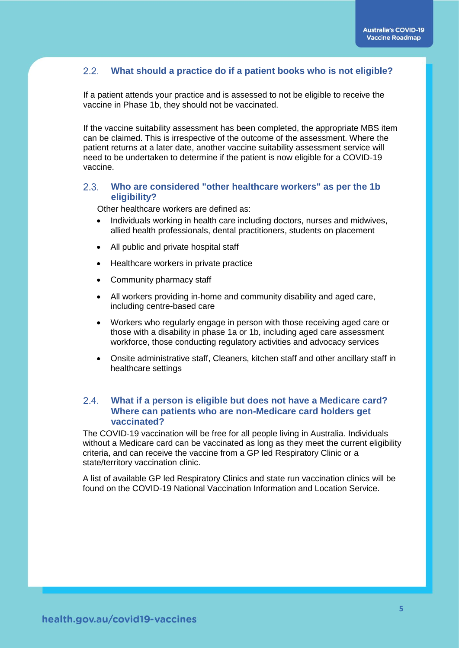#### $2.2.$ **What should a practice do if a patient books who is not eligible?**

If a patient attends your practice and is assessed to not be eligible to receive the vaccine in Phase 1b, they should not be vaccinated.

If the vaccine suitability assessment has been completed, the appropriate MBS item can be claimed. This is irrespective of the outcome of the assessment. Where the patient returns at a later date, another vaccine suitability assessment service will need to be undertaken to determine if the patient is now eligible for a COVID-19 vaccine.

#### **Who are considered "other healthcare workers" as per the 1b**   $2.3.$ **eligibility?**

Other healthcare workers are defined as:

- Individuals working in health care including doctors, nurses and midwives, allied health professionals, dental practitioners, students on placement
- All public and private hospital staff
- Healthcare workers in private practice
- Community pharmacy staff
- All workers providing in-home and community disability and aged care, including centre-based care
- Workers who regularly engage in person with those receiving aged care or those with a disability in phase 1a or 1b, including aged care assessment workforce, those conducting regulatory activities and advocacy services
- Onsite administrative staff, Cleaners, kitchen staff and other ancillary staff in healthcare settings

## $2.4.$ **What if a person is eligible but does not have a Medicare card? Where can patients who are non-Medicare card holders get vaccinated?**

The COVID-19 vaccination will be free for all people living in Australia. Individuals without a Medicare card can be vaccinated as long as they meet the current eligibility criteria, and can receive the vaccine from a GP led Respiratory Clinic or a state/territory vaccination clinic.

A list of available GP led Respiratory Clinics and state run vaccination clinics will be found on the COVID-19 National Vaccination Information and Location Service.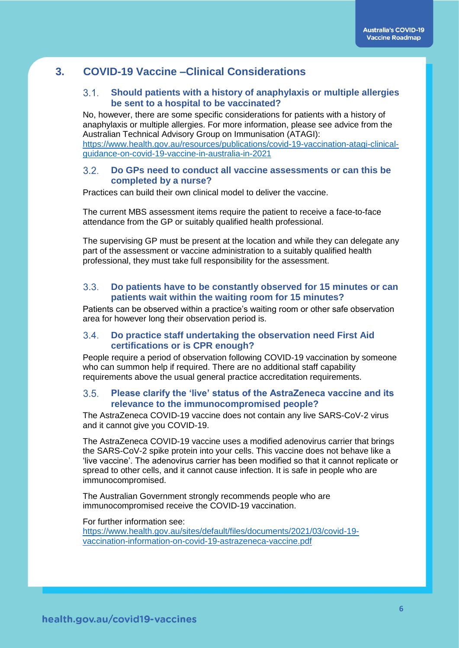# **3. COVID-19 Vaccine –Clinical Considerations**

### $3.1.$ **Should patients with a history of anaphylaxis or multiple allergies be sent to a hospital to be vaccinated?**

No, however, there are some specific considerations for patients with a history of anaphylaxis or multiple allergies. For more information, please see advice from the Australian Technical Advisory Group on Immunisation (ATAGI): [https://www.health.gov.au/resources/publications/covid-19-vaccination-atagi-clinical](https://www.health.gov.au/resources/publications/covid-19-vaccination-atagi-clinical-guidance-on-covid-19-vaccine-in-australia-in-2021)[guidance-on-covid-19-vaccine-in-australia-in-2021](https://www.health.gov.au/resources/publications/covid-19-vaccination-atagi-clinical-guidance-on-covid-19-vaccine-in-australia-in-2021)

### $3.2<sub>1</sub>$ **Do GPs need to conduct all vaccine assessments or can this be completed by a nurse?**

Practices can build their own clinical model to deliver the vaccine.

The current MBS assessment items require the patient to receive a face-to-face attendance from the GP or suitably qualified health professional.

The supervising GP must be present at the location and while they can delegate any part of the assessment or vaccine administration to a suitably qualified health professional, they must take full responsibility for the assessment.

### $3.3.$ **Do patients have to be constantly observed for 15 minutes or can patients wait within the waiting room for 15 minutes?**

Patients can be observed within a practice's waiting room or other safe observation area for however long their observation period is.

### $34$ **Do practice staff undertaking the observation need First Aid certifications or is CPR enough?**

People require a period of observation following COVID-19 vaccination by someone who can summon help if required. There are no additional staff capability requirements above the usual general practice accreditation requirements.

#### $3.5$ **Please clarify the 'live' status of the AstraZeneca vaccine and its relevance to the immunocompromised people?**

The AstraZeneca COVID-19 vaccine does not contain any live SARS-CoV-2 virus and it cannot give you COVID-19.

The AstraZeneca COVID-19 vaccine uses a modified adenovirus carrier that brings the SARS-CoV-2 spike protein into your cells. This vaccine does not behave like a 'live vaccine'. The adenovirus carrier has been modified so that it cannot replicate or spread to other cells, and it cannot cause infection. It is safe in people who are immunocompromised.

The Australian Government strongly recommends people who are immunocompromised receive the COVID-19 vaccination.

For further information see:

[https://www.health.gov.au/sites/default/files/documents/2021/03/covid-19](https://www.health.gov.au/sites/default/files/documents/2021/03/covid-19-vaccination-information-on-covid-19-astrazeneca-vaccine.pdf) [vaccination-information-on-covid-19-astrazeneca-vaccine.pdf](https://www.health.gov.au/sites/default/files/documents/2021/03/covid-19-vaccination-information-on-covid-19-astrazeneca-vaccine.pdf)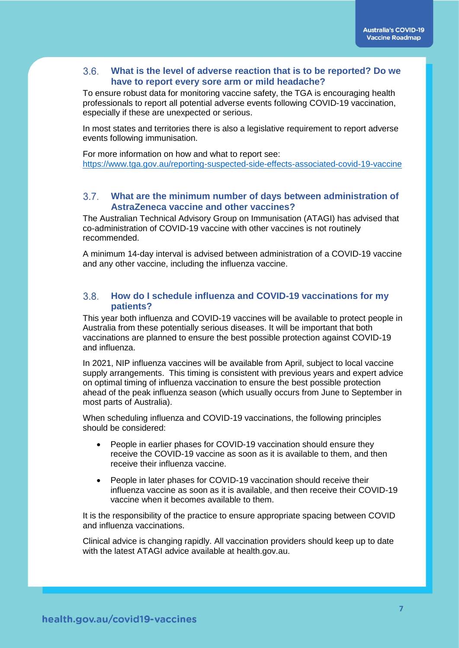#### $3.6.$ **What is the level of adverse reaction that is to be reported? Do we have to report every sore arm or mild headache?**

To ensure robust data for monitoring vaccine safety, the TGA is encouraging health professionals to report all potential adverse events following COVID-19 vaccination, especially if these are unexpected or serious.

In most states and territories there is also a legislative requirement to report adverse events following immunisation.

For more information on how and what to report see: <https://www.tga.gov.au/reporting-suspected-side-effects-associated-covid-19-vaccine>

#### $3.7.$ **What are the minimum number of days between administration of AstraZeneca vaccine and other vaccines?**

The Australian Technical Advisory Group on Immunisation (ATAGI) has advised that co-administration of COVID-19 vaccine with other vaccines is not routinely recommended.

A minimum 14-day interval is advised between administration of a COVID-19 vaccine and any other vaccine, including the influenza vaccine.

#### $3.8.$ **How do I schedule influenza and COVID-19 vaccinations for my patients?**

This year both influenza and COVID-19 vaccines will be available to protect people in Australia from these potentially serious diseases. It will be important that both vaccinations are planned to ensure the best possible protection against COVID-19 and influenza.

In 2021, NIP influenza vaccines will be available from April, subject to local vaccine supply arrangements. This timing is consistent with previous years and expert advice on optimal timing of influenza vaccination to ensure the best possible protection ahead of the peak influenza season (which usually occurs from June to September in most parts of Australia).

When scheduling influenza and COVID-19 vaccinations, the following principles should be considered:

- People in [earlier phases](https://www.health.gov.au/initiatives-and-programs/covid-19-vaccines/getting-vaccinated-for-covid-19/when-will-i-get-a-covid-19-vaccine) for COVID-19 vaccination should ensure they receive the COVID-19 vaccine as soon as it is available to them, and then receive their influenza vaccine.
- People in [later phases](https://www.health.gov.au/initiatives-and-programs/covid-19-vaccines/getting-vaccinated-for-covid-19/when-will-i-get-a-covid-19-vaccine) for COVID-19 vaccination should receive their influenza vaccine as soon as it is available, and then receive their COVID-19 vaccine when it becomes available to them.

It is the responsibility of the practice to ensure appropriate spacing between COVID and influenza vaccinations.

Clinical advice is changing rapidly. All vaccination providers should keep up to date with the latest ATAGI advice available at health.gov.au.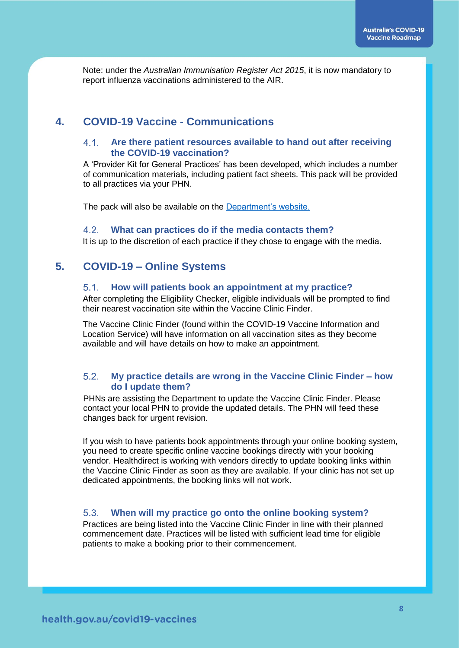Note: under the *Australian Immunisation Register Act 2015*, it is now mandatory to report influenza vaccinations administered to the AIR.

# **4. COVID-19 Vaccine - Communications**

## **Are there patient resources available to hand out after receiving the COVID-19 vaccination?**

A 'Provider Kit for General Practices' has been developed, which includes a number of communication materials, including patient fact sheets. This pack will be provided to all practices via your PHN.

The pack will also be available on the [Department's website.](https://www.health.gov.au/initiatives-and-programs/covid-19-vaccines/information-for-covid-19-vaccination-providers#becoming-a-covid19-vaccination-provider)

#### $4.2.$ **What can practices do if the media contacts them?**

It is up to the discretion of each practice if they chose to engage with the media.

## **5. COVID-19 – Online Systems**

#### **How will patients book an appointment at my practice?**  $5.1.$

After completing the Eligibility Checker, eligible individuals will be prompted to find their nearest vaccination site within the Vaccine Clinic Finder.

The Vaccine Clinic Finder (found within the COVID-19 Vaccine Information and Location Service) will have information on all vaccination sites as they become available and will have details on how to make an appointment.

### 52 **My practice details are wrong in the Vaccine Clinic Finder – how do I update them?**

PHNs are assisting the Department to update the Vaccine Clinic Finder. Please contact your local PHN to provide the updated details. The PHN will feed these changes back for urgent revision.

If you wish to have patients book appointments through your online booking system, you need to create specific online vaccine bookings directly with your booking vendor. Healthdirect is working with vendors directly to update booking links within the Vaccine Clinic Finder as soon as they are available. If your clinic has not set up dedicated appointments, the booking links will not work.

#### $5.3.$ **When will my practice go onto the online booking system?**

Practices are being listed into the Vaccine Clinic Finder in line with their planned commencement date. Practices will be listed with sufficient lead time for eligible patients to make a booking prior to their commencement.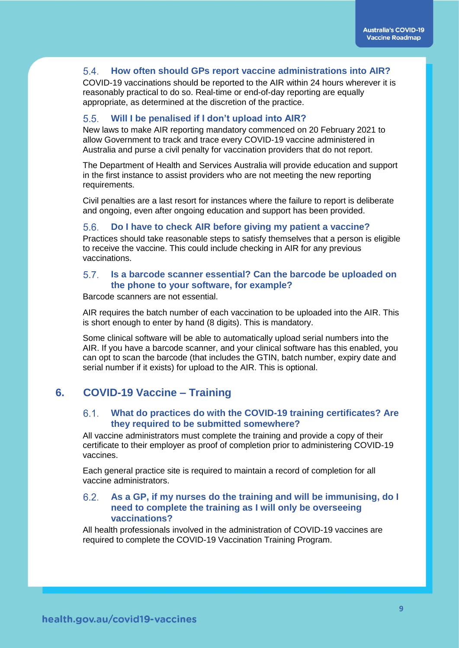#### $5.4.$ **How often should GPs report vaccine administrations into AIR?**

COVID-19 vaccinations should be reported to the AIR within 24 hours wherever it is reasonably practical to do so. Real-time or end-of-day reporting are equally appropriate, as determined at the discretion of the practice.

#### $5.5.$ **Will I be penalised if I don't upload into AIR?**

New laws to make AIR reporting mandatory commenced on 20 February 2021 to allow Government to track and trace every COVID-19 vaccine administered in Australia and purse a civil penalty for vaccination providers that do not report.

The Department of Health and Services Australia will provide education and support in the first instance to assist providers who are not meeting the new reporting requirements.

Civil penalties are a last resort for instances where the failure to report is deliberate and ongoing, even after ongoing education and support has been provided.

#### $5.6.$ **Do I have to check AIR before giving my patient a vaccine?**

Practices should take reasonable steps to satisfy themselves that a person is eligible to receive the vaccine. This could include checking in AIR for any previous vaccinations.

#### $5.7.$ **Is a barcode scanner essential? Can the barcode be uploaded on the phone to your software, for example?**

Barcode scanners are not essential.

AIR requires the batch number of each vaccination to be uploaded into the AIR. This is short enough to enter by hand (8 digits). This is mandatory.

Some clinical software will be able to automatically upload serial numbers into the AIR. If you have a barcode scanner, and your clinical software has this enabled, you can opt to scan the barcode (that includes the GTIN, batch number, expiry date and serial number if it exists) for upload to the AIR. This is optional.

## **6. COVID-19 Vaccine – Training**

#### $6.1.$ **What do practices do with the COVID-19 training certificates? Are they required to be submitted somewhere?**

All vaccine administrators must complete the training and provide a copy of their certificate to their employer as proof of completion prior to administering COVID-19 vaccines.

Each general practice site is required to maintain a record of completion for all vaccine administrators.

### 6.2 **As a GP, if my nurses do the training and will be immunising, do I need to complete the training as I will only be overseeing vaccinations?**

All health professionals involved in the administration of COVID-19 vaccines are required to complete the COVID-19 Vaccination Training Program.